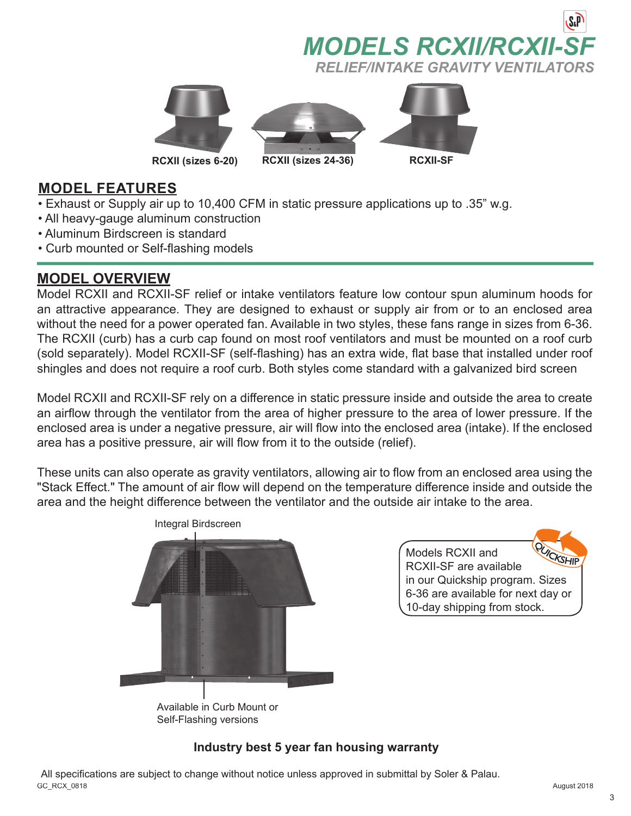







### **MODEL FEATURES**

- Exhaust or Supply air up to 10,400 CFM in static pressure applications up to .35" w.g.
- All heavy-gauge aluminum construction
- Aluminum Birdscreen is standard
- Curb mounted or Self-flashing models

### **MODEL OVERVIEW**

Model RCXII and RCXII-SF relief or intake ventilators feature low contour spun aluminum hoods for an attractive appearance. They are designed to exhaust or supply air from or to an enclosed area without the need for a power operated fan. Available in two styles, these fans range in sizes from 6-36. The RCXII (curb) has a curb cap found on most roof ventilators and must be mounted on a roof curb (sold separately). Model RCXII-SF (self-flashing) has an extra wide, flat base that installed under roof shingles and does not require a roof curb. Both styles come standard with a galvanized bird screen

Model RCXII and RCXII-SF rely on a difference in static pressure inside and outside the area to create an airflow through the ventilator from the area of higher pressure to the area of lower pressure. If the enclosed area is under a negative pressure, air will flow into the enclosed area (intake). If the enclosed area has a positive pressure, air will flow from it to the outside (relief).

These units can also operate as gravity ventilators, allowing air to flow from an enclosed area using the "Stack Effect." The amount of air flow will depend on the temperature difference inside and outside the area and the height difference between the ventilator and the outside air intake to the area.



Models RCXII and RCXII-SF are available in our Quickship program. Sizes 6-36 are available for next day or 10-day shipping from stock.

# Self-Flashing versions

### **Industry best 5 year fan housing warranty**

GC\_RCX\_0818 August 2018 All specifications are subject to change without notice unless approved in submittal by Soler & Palau.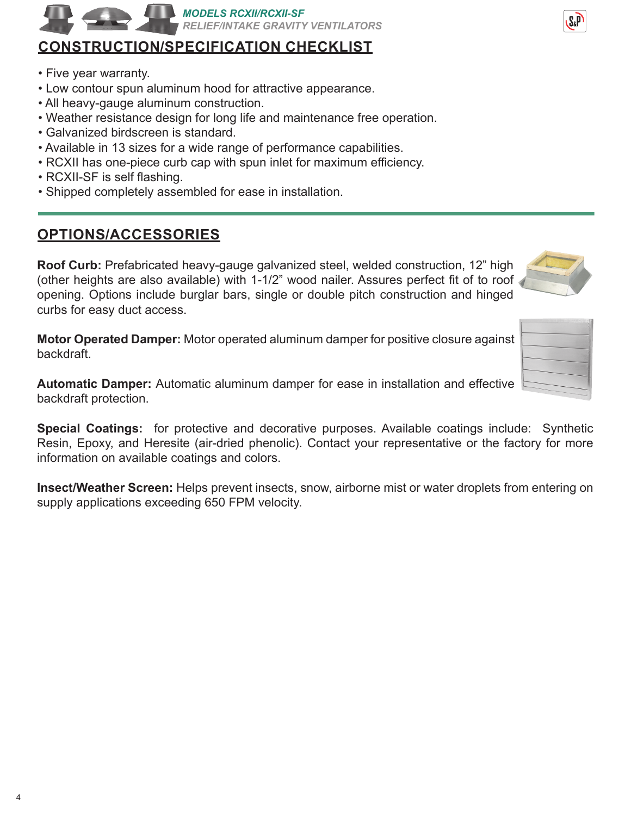## *MODELS RCXII/RCXII-SF RELIEF/INTAKE GRAVITY VENTILATORS*

# **CONSTRUCTION/SPECIFICATION CHECKLIST**

- Five year warranty.
- Low contour spun aluminum hood for attractive appearance.
- All heavy-gauge aluminum construction.
- Weather resistance design for long life and maintenance free operation.
- Galvanized birdscreen is standard.
- Available in 13 sizes for a wide range of performance capabilities.
- RCXII has one-piece curb cap with spun inlet for maximum efficiency.
- RCXII-SF is self flashing.
- Shipped completely assembled for ease in installation.

# **OPTIONS/ACCESSORIES**

**Roof Curb:** Prefabricated heavy-gauge galvanized steel, welded construction, 12" high (other heights are also available) with 1-1/2" wood nailer. Assures perfect fit of to roof opening. Options include burglar bars, single or double pitch construction and hinged curbs for easy duct access.

**Motor Operated Damper:** Motor operated aluminum damper for positive closure against backdraft.

**Automatic Damper:** Automatic aluminum damper for ease in installation and effective backdraft protection.

**Special Coatings:** for protective and decorative purposes. Available coatings include: Synthetic Resin, Epoxy, and Heresite (air-dried phenolic). Contact your representative or the factory for more information on available coatings and colors.

**Insect/Weather Screen:** Helps prevent insects, snow, airborne mist or water droplets from entering on supply applications exceeding 650 FPM velocity.



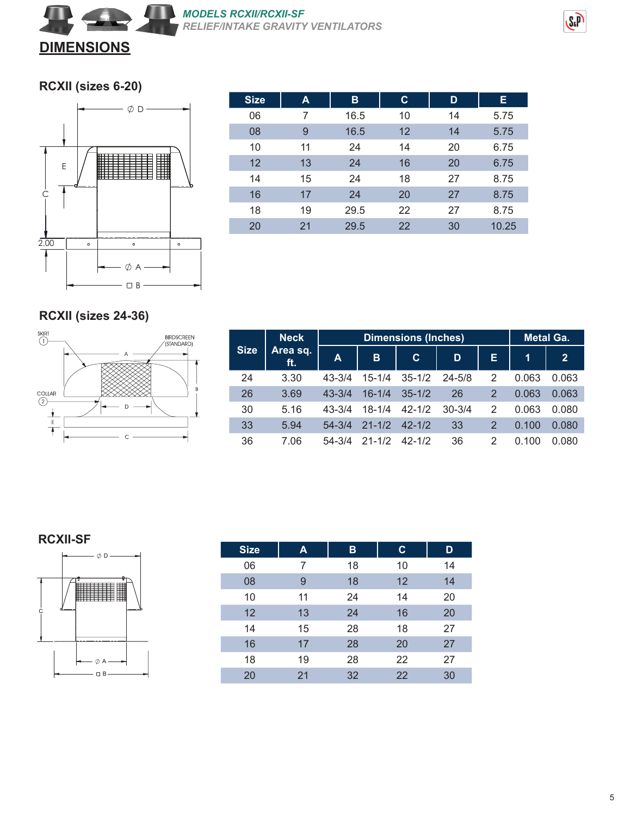

#### **RCXII (sizes 6-20)**



| <b>Size</b> | A  | в    | C. | D  | E.    |
|-------------|----|------|----|----|-------|
| 06          | 7  | 16.5 | 10 | 14 | 5.75  |
| 08          | 9  | 16.5 | 12 | 14 | 5.75  |
| 10          | 11 | 24   | 14 | 20 | 6.75  |
| 12          | 13 | 24   | 16 | 20 | 6.75  |
| 14          | 15 | 24   | 18 | 27 | 8.75  |
| 16          | 17 | 24   | 20 | 27 | 8.75  |
| 18          | 19 | 29.5 | 22 | 27 | 8.75  |
| 20          | 21 | 29.5 | 22 | 30 | 10.25 |

### **RCXII (sizes 24-36)**



|             | <b>Neck</b>     |              | <b>Dimensions (Inches)</b> | <b>Metal Ga.</b> |            |                |       |                |
|-------------|-----------------|--------------|----------------------------|------------------|------------|----------------|-------|----------------|
| <b>Size</b> | Area sq.<br>ft. | $\mathbf{A}$ | B                          | C.               | D          | Е              | 1     | $\overline{2}$ |
| 24          | 3.30            | $43 - 3/4$   | $15 - 1/4$                 | $35 - 1/2$       | $24 - 5/8$ | 2              | 0.063 | 0.063          |
| 26          | 3.69            | $43 - 3/4$   | $16 - 1/4$                 | $35 - 1/2$       | 26         | $\mathcal{P}$  | 0.063 | 0.063          |
| 30          | 5.16            | $43 - 3/4$   | $18 - 1/4$                 | $42 - 1/2$       | $30 - 3/4$ | 2              | 0.063 | 0.080          |
| 33          | 5.94            | $54 - 3/4$   | $21 - 1/2$                 | $42 - 1/2$       | 33         | $\overline{2}$ | 0.100 | 0.080          |
| 36          | 7.06            | $54 - 3/4$   | $21 - 1/2$                 | $42 - 1/2$       | 36         | 2              | 0.100 | 0.080          |

#### **RCXII-SF**



| <b>Size</b> | A  | в  | $\mathbf c$ | D  |
|-------------|----|----|-------------|----|
| 06          | 7  | 18 | 10          | 14 |
| 08          | 9  | 18 | 12          | 14 |
| 10          | 11 | 24 | 14          | 20 |
| 12          | 13 | 24 | 16          | 20 |
| 14          | 15 | 28 | 18          | 27 |
| 16          | 17 | 28 | 20          | 27 |
| 18          | 19 | 28 | 22          | 27 |
| 20          | 21 | 32 | 22          | 30 |